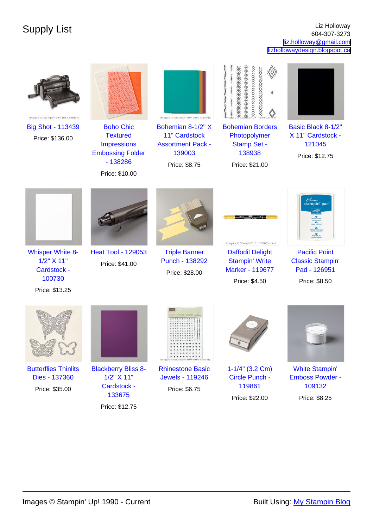Supply List Liz Holloway 604-307-3273 [liz.holloway@gmail.com](mailto:liz.holloway@gmail.com) [lizhollowaydesign.blogspot.ca](http://lizhollowaydesign.blogspot.ca)

| Images ® Stampin' UP! 1990-Current<br><b>Big Shot - 113439</b><br>Price: \$136.00 | <b>Boho Chic</b><br><b>Textured</b><br><b>Impressions</b><br><b>Embossing Folder</b><br>$-138286$<br>Price: \$10.00 | Images ® Stampin' UP! 1990-Current<br>Bohemian 8-1/2" X<br>11" Cardstock<br><b>Assortment Pack -</b><br>139003<br>Price: \$8.75 | <u>mir utama matama mumi matama m</u><br>XXXXXXXXXXXX<br>0101010101010<br><b>Bohemian Borders</b><br>Photopolymer<br><b>Stamp Set -</b><br>138938<br>Price: \$21.00 | Basic Black 8-1/2"<br>X 11" Cardstock -<br>121045<br>Price: \$12.75                                                |
|-----------------------------------------------------------------------------------|---------------------------------------------------------------------------------------------------------------------|---------------------------------------------------------------------------------------------------------------------------------|---------------------------------------------------------------------------------------------------------------------------------------------------------------------|--------------------------------------------------------------------------------------------------------------------|
| <b>Whisper White 8-</b><br>1/2" X 11"<br>Cardstock -<br>100730<br>Price: \$13.25  | <b>Heat Tool - 129053</b><br>Price: \$41.00                                                                         | <b>Triple Banner</b><br>Punch - 138292<br>Price: \$28.00                                                                        | Images ® Stampin' UP! 1990-Current<br><b>Daffodil Delight</b><br><b>Stampin' Write</b><br>Marker - 119677<br>Price: \$4.50                                          | <i>Classic</i><br>stampin' pad<br><b>Pacific Point</b><br><b>Classic Stampin'</b><br>Pad - 126951<br>Price: \$8.50 |
|                                                                                   |                                                                                                                     | Images @ Stampin' UP! 1990-Current                                                                                              |                                                                                                                                                                     |                                                                                                                    |
| <b>Butterflies Thinlits</b><br>Dies - 137360<br>Price: \$35.00                    | <b>Blackberry Bliss 8-</b><br>1/2" X 11"<br>Cardstock -<br>133675<br>Price: \$12.75                                 | <b>Rhinestone Basic</b><br>Jewels - 119246<br>Price: \$6.75                                                                     | $1 - 1/4$ " (3.2 Cm)<br>Circle Punch -<br>119861<br>Price: \$22.00                                                                                                  | <b>White Stampin'</b><br><b>Emboss Powder -</b><br>109132<br>Price: \$8.25                                         |